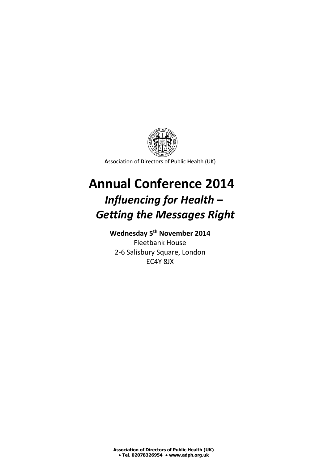

**A**ssociation of **D**irectors of **P**ublic **H**ealth (UK)

# **Annual Conference 2014** *Influencing for Health – Getting the Messages Right*

## **Wednesday 5th November 2014**

Fleetbank House 2-6 Salisbury Square, London EC4Y 8JX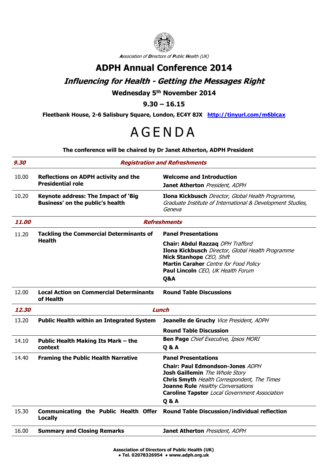

**A**ssociation of **D**irectors of **P**ublic **H**ealth (UK)

### **ADPH Annual Conference 2014**

### **Influencing for Health - Getting the Messages Right**

#### **Wednesday 5th November 2014**

**9.30 – 16.15**

**Fleetbank House, 2-6 Salisbury Square, London, EC4Y 8JX <http://tinyurl.com/m6blcax>**

# **AGENDA**

#### **The conference will be chaired by Dr Janet Atherton, ADPH President**

| <b>Reflections on ADPH activity and the</b><br><b>Presidential role</b> | <b>Welcome and Introduction</b>                                                                                                                                                                                                  |
|-------------------------------------------------------------------------|----------------------------------------------------------------------------------------------------------------------------------------------------------------------------------------------------------------------------------|
|                                                                         | Janet Atherton President, ADPH                                                                                                                                                                                                   |
| Keynote address: The Impact of 'Big<br>Business' on the public's health | Ilona Kickbusch Director, Global Health Programme,<br>Graduate Institute of International & Development Studies,<br>Geneva                                                                                                       |
| <i><b>11.00</b></i><br><b>Refreshments</b>                              |                                                                                                                                                                                                                                  |
| <b>Tackling the Commercial Determinants of</b>                          | <b>Panel Presentations</b>                                                                                                                                                                                                       |
|                                                                         | Chair: Abdul Razzaq DPH Trafford<br>Ilona Kickbusch Director, Global Health Programme<br>Nick Stanhope CEO, Shift<br>Martin Caraher Centre for Food Policy<br>Paul Lincoln CEO, UK Health Forum<br>Q&A                           |
| <b>Local Action on Commercial Determinants</b><br>of Health             | <b>Round Table Discussions</b>                                                                                                                                                                                                   |
| <b>Lunch</b><br>12.30                                                   |                                                                                                                                                                                                                                  |
| <b>Public Health within an Integrated System</b>                        | Jeanelle de Gruchy Vice President, ADPH                                                                                                                                                                                          |
|                                                                         | <b>Round Table Discussion</b>                                                                                                                                                                                                    |
| Public Health Making Its Mark - the<br>context                          | <b>Ben Page</b> Chief Executive, Ipsos MORI<br><b>Q&amp;A</b>                                                                                                                                                                    |
| <b>Framing the Public Health Narrative</b>                              | <b>Panel Presentations</b>                                                                                                                                                                                                       |
|                                                                         | <b>Chair: Paul Edmondson-Jones ADPH</b><br>Josh Gaillemin The Whole Story<br>Chris Smyth Health Correspondent, The Times<br>Joanne Rule Healthy Conversations<br>Caroline Tapster Local Government Association<br><b>Q&amp;A</b> |
| <b>Locally</b>                                                          | Communicating the Public Health Offer Round Table Discussion/individual reflection                                                                                                                                               |
| <b>Summary and Closing Remarks</b>                                      | Janet Atherton President, ADPH                                                                                                                                                                                                   |
|                                                                         | <b>Health</b>                                                                                                                                                                                                                    |